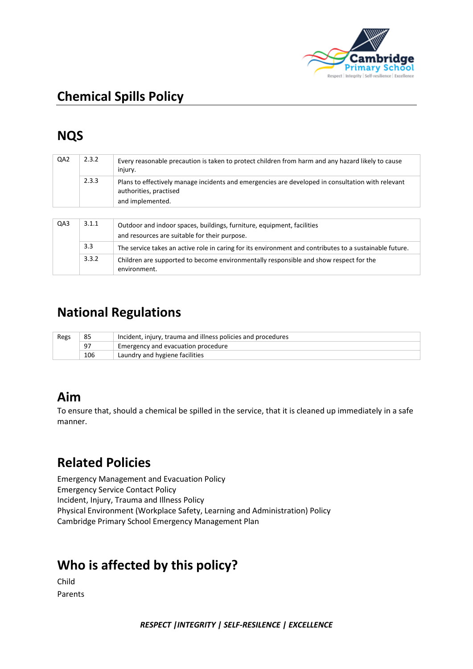

# **NQS**

| QA2 | 2.3.2 | Every reasonable precaution is taken to protect children from harm and any hazard likely to cause<br>injury.                |  |
|-----|-------|-----------------------------------------------------------------------------------------------------------------------------|--|
|     | 2.3.3 | Plans to effectively manage incidents and emergencies are developed in consultation with relevant<br>authorities, practised |  |
|     |       | and implemented.                                                                                                            |  |
|     |       |                                                                                                                             |  |
| QA3 | 3.1.1 | Outdoor and indoor spaces, buildings, furniture, equipment, facilities                                                      |  |
|     |       | and resources are suitable for their purpose.                                                                               |  |
|     | 3.3   | The service takes an active role in caring for its environment and contributes to a sustainable future.                     |  |
|     | 3.3.2 | Children are supported to become environmentally responsible and show respect for the<br>environment.                       |  |

### **National Regulations**

| Regs | Incident, injury, trauma and illness policies and procedures<br>85 |                                    |  |
|------|--------------------------------------------------------------------|------------------------------------|--|
|      | 97                                                                 | Emergency and evacuation procedure |  |
|      | 106                                                                | Laundry and hygiene facilities     |  |

### **Aim**

To ensure that, should a chemical be spilled in the service, that it is cleaned up immediately in a safe manner.

### **Related Policies**

Emergency Management and Evacuation Policy Emergency Service Contact Policy Incident, Injury, Trauma and Illness Policy Physical Environment (Workplace Safety, Learning and Administration) Policy Cambridge Primary School Emergency Management Plan

# **Who is affected by this policy?**

Child Parents